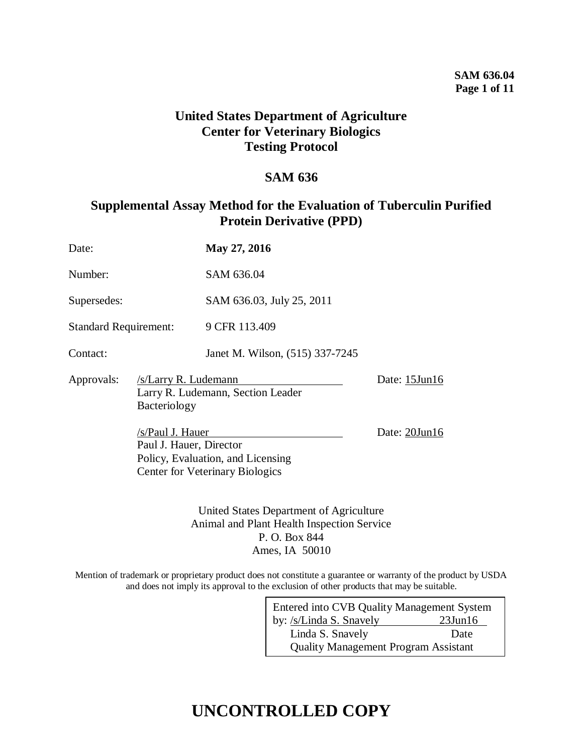# **United States Department of Agriculture Center for Veterinary Biologics Testing Protocol**

# **SAM 636**

# **Supplemental Assay Method for the Evaluation of Tuberculin Purified Protein Derivative (PPD)**

| Date:                        |                                        | May 27, 2016                                                                                                                                                  |  |
|------------------------------|----------------------------------------|---------------------------------------------------------------------------------------------------------------------------------------------------------------|--|
| Number:                      |                                        | SAM 636.04                                                                                                                                                    |  |
| Supersedes:                  |                                        | SAM 636.03, July 25, 2011                                                                                                                                     |  |
| <b>Standard Requirement:</b> |                                        | 9 CFR 113.409                                                                                                                                                 |  |
| Contact:                     |                                        | Janet M. Wilson, (515) 337-7245                                                                                                                               |  |
| Approvals:                   | <b>Center for Veterinary Biologics</b> | /s/Larry R. Ludemann<br>Larry R. Ludemann, Section Leader<br>Bacteriology<br>/s/Paul J. Hauer<br>Paul J. Hauer, Director<br>Policy, Evaluation, and Licensing |  |
|                              |                                        |                                                                                                                                                               |  |

United States Department of Agriculture Animal and Plant Health Inspection Service P. O. Box 844 Ames, IA 50010

Mention of trademark or proprietary product does not constitute a guarantee or warranty of the product by USDA and does not imply its approval to the exclusion of other products that may be suitable.

| Entered into CVB Quality Management System  |               |  |  |  |
|---------------------------------------------|---------------|--|--|--|
| by: /s/Linda S. Snavely                     | $23$ Jun $16$ |  |  |  |
| Linda S. Snavely                            | Date          |  |  |  |
| <b>Quality Management Program Assistant</b> |               |  |  |  |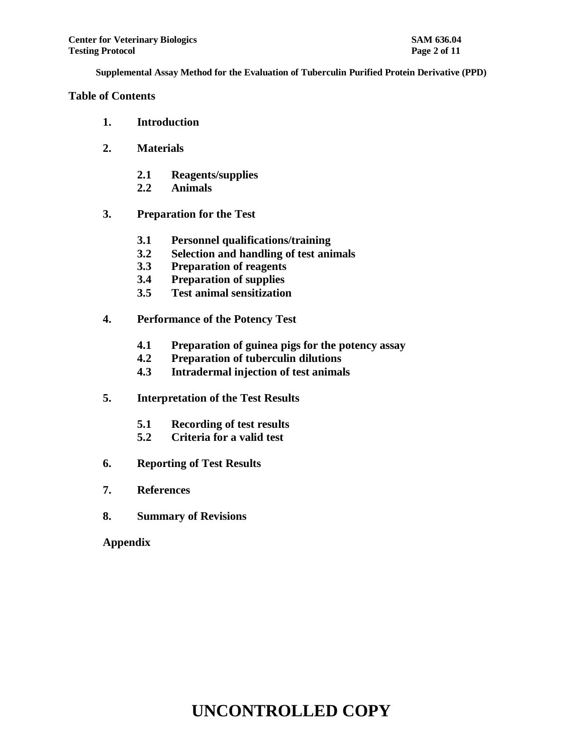### **Table of Contents**

- **1. Introduction**
- **2. Materials**
	- **2.1 Reagents/supplies**
	- **2.2 Animals**
- **3. Preparation for the Test**
	- **3.1 Personnel qualifications/training**
	- **3.2 Selection and handling of test animals**
	- **3.3 Preparation of reagents**
	- **3.4 Preparation of supplies**
	- **3.5 Test animal sensitization**
- **4. Performance of the Potency Test**
	- **4.1 Preparation of guinea pigs for the potency assay**
	- **4.2 Preparation of tuberculin dilutions**
	- **4.3 Intradermal injection of test animals**
- **5. Interpretation of the Test Results**
	- **5.1 Recording of test results**
	- **5.2 Criteria for a valid test**
- **6. Reporting of Test Results**
- **7. References**
- **8. Summary of Revisions**

**Appendix**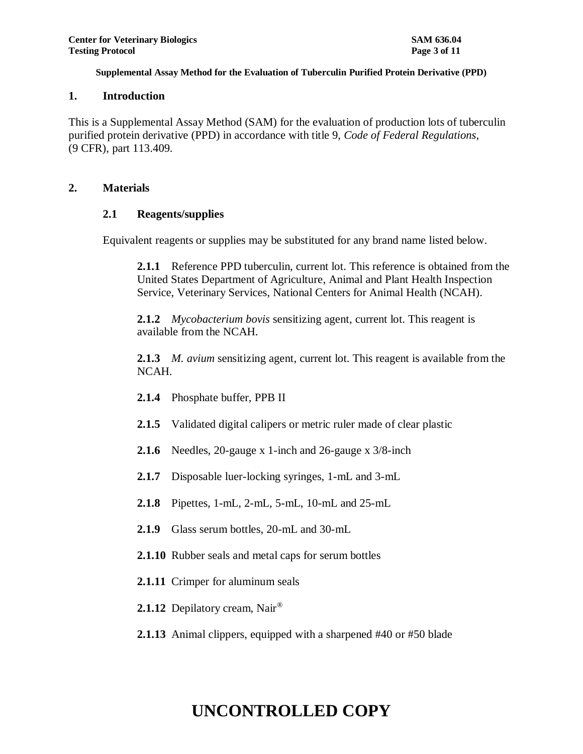### **1. Introduction**

This is a Supplemental Assay Method (SAM) for the evaluation of production lots of tuberculin purified protein derivative (PPD) in accordance with title 9, *Code of Federal Regulations*, (9 CFR), part 113.409.

### **2. Materials**

### **2.1 Reagents/supplies**

Equivalent reagents or supplies may be substituted for any brand name listed below.

**2.1.1** Reference PPD tuberculin, current lot. This reference is obtained from the United States Department of Agriculture, Animal and Plant Health Inspection Service, Veterinary Services, National Centers for Animal Health (NCAH).

**2.1.2** *Mycobacterium bovis* sensitizing agent, current lot. This reagent is available from the NCAH.

**2.1.3** *M. avium* sensitizing agent, current lot. This reagent is available from the NCAH.

- **2.1.4** Phosphate buffer, PPB II
- **2.1.5** Validated digital calipers or metric ruler made of clear plastic
- **2.1.6** Needles, 20-gauge x 1-inch and 26-gauge x 3/8-inch
- **2.1.7** Disposable luer-locking syringes, 1-mL and 3-mL
- **2.1.8** Pipettes, 1-mL, 2-mL, 5-mL, 10-mL and 25-mL
- **2.1.9** Glass serum bottles, 20-mL and 30-mL
- **2.1.10** Rubber seals and metal caps for serum bottles
- **2.1.11** Crimper for aluminum seals
- 2.1.12 Depilatory cream, Nair<sup>®</sup>
- **2.1.13** Animal clippers, equipped with a sharpened #40 or #50 blade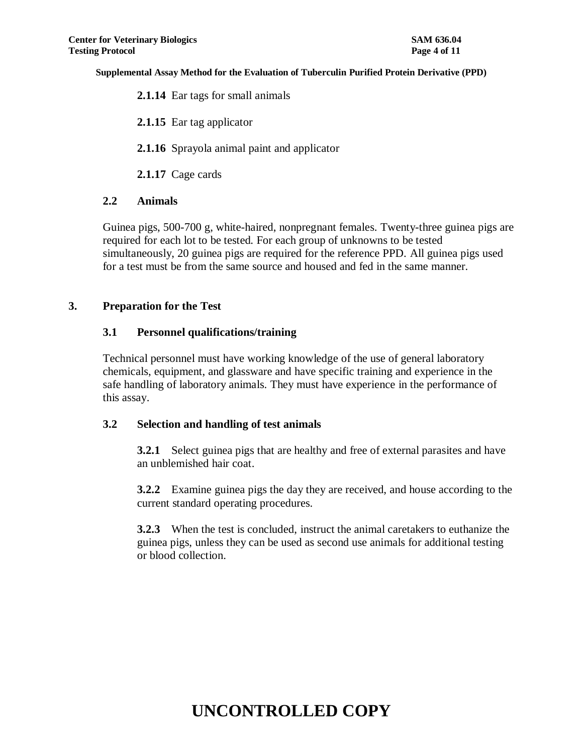**2.1.14** Ear tags for small animals

**2.1.15** Ear tag applicator

**2.1.16** Sprayola animal paint and applicator

**2.1.17** Cage cards

### **2.2 Animals**

Guinea pigs, 500-700 g, white-haired, nonpregnant females. Twenty-three guinea pigs are required for each lot to be tested. For each group of unknowns to be tested simultaneously, 20 guinea pigs are required for the reference PPD. All guinea pigs used for a test must be from the same source and housed and fed in the same manner.

# **3. Preparation for the Test**

# **3.1 Personnel qualifications/training**

Technical personnel must have working knowledge of the use of general laboratory chemicals, equipment, and glassware and have specific training and experience in the safe handling of laboratory animals. They must have experience in the performance of this assay.

### **3.2 Selection and handling of test animals**

**3.2.1** Select guinea pigs that are healthy and free of external parasites and have an unblemished hair coat.

**3.2.2** Examine guinea pigs the day they are received, and house according to the current standard operating procedures.

**3.2.3** When the test is concluded, instruct the animal caretakers to euthanize the guinea pigs, unless they can be used as second use animals for additional testing or blood collection.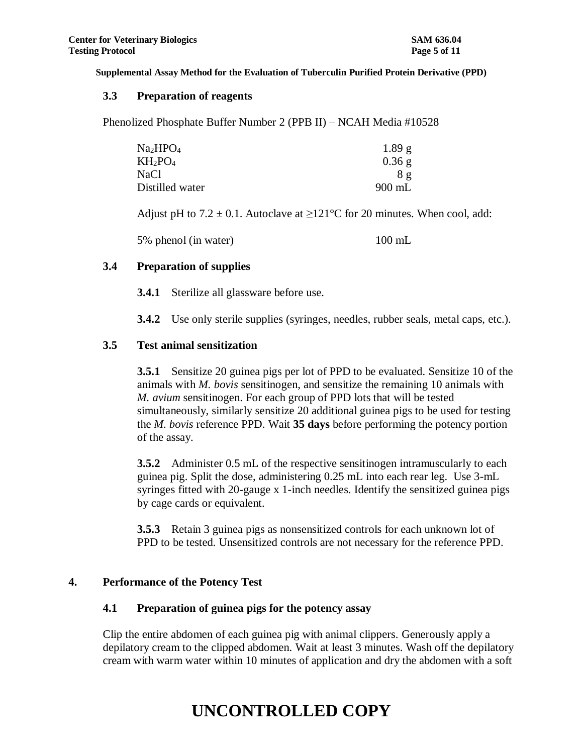### **3.3 Preparation of reagents**

Phenolized Phosphate Buffer Number 2 (PPB II) – NCAH Media #10528

| Na2HPO <sub>4</sub>             | 1.89 g   |
|---------------------------------|----------|
| KH <sub>2</sub> PO <sub>4</sub> | $0.36$ g |
| NaCl                            | 8 g      |
| Distilled water                 | $900$ mL |

Adjust pH to  $7.2 \pm 0.1$ . Autoclave at  $\geq 121^{\circ}$ C for 20 minutes. When cool, add:

5% phenol (in water) 100 mL

### **3.4 Preparation of supplies**

**3.4.1** Sterilize all glassware before use.

**3.4.2** Use only sterile supplies (syringes, needles, rubber seals, metal caps, etc.).

### **3.5 Test animal sensitization**

**3.5.1** Sensitize 20 guinea pigs per lot of PPD to be evaluated. Sensitize 10 of the animals with *M. bovis* sensitinogen, and sensitize the remaining 10 animals with *M. avium* sensitinogen. For each group of PPD lots that will be tested simultaneously, similarly sensitize 20 additional guinea pigs to be used for testing the *M. bovis* reference PPD. Wait **35 days** before performing the potency portion of the assay.

**3.5.2** Administer 0.5 mL of the respective sensitinogen intramuscularly to each guinea pig. Split the dose, administering 0.25 mL into each rear leg. Use 3-mL syringes fitted with 20-gauge x 1-inch needles. Identify the sensitized guinea pigs by cage cards or equivalent.

**3.5.3** Retain 3 guinea pigs as nonsensitized controls for each unknown lot of PPD to be tested. Unsensitized controls are not necessary for the reference PPD.

### **4. Performance of the Potency Test**

### **4.1 Preparation of guinea pigs for the potency assay**

Clip the entire abdomen of each guinea pig with animal clippers. Generously apply a depilatory cream to the clipped abdomen. Wait at least 3 minutes. Wash off the depilatory cream with warm water within 10 minutes of application and dry the abdomen with a soft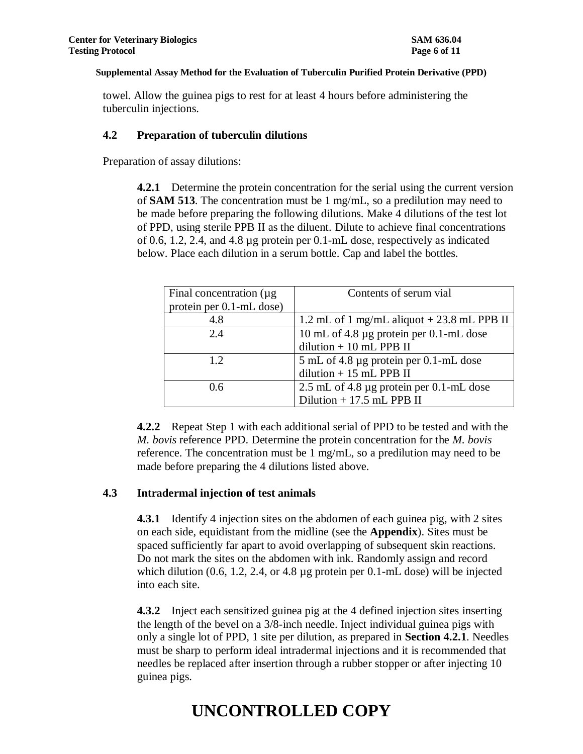towel. Allow the guinea pigs to rest for at least 4 hours before administering the tuberculin injections.

### **4.2 Preparation of tuberculin dilutions**

Preparation of assay dilutions:

**4.2.1** Determine the protein concentration for the serial using the current version of **SAM 513**. The concentration must be 1 mg/mL, so a predilution may need to be made before preparing the following dilutions. Make 4 dilutions of the test lot of PPD, using sterile PPB II as the diluent. Dilute to achieve final concentrations of 0.6, 1.2, 2.4, and 4.8 µg protein per 0.1-mL dose, respectively as indicated below. Place each dilution in a serum bottle. Cap and label the bottles.

| Final concentration $(\mu g)$ | Contents of serum vial                        |  |
|-------------------------------|-----------------------------------------------|--|
| protein per 0.1-mL dose)      |                                               |  |
| 4.8                           | 1.2 mL of 1 mg/mL aliquot $+23.8$ mL PPB II   |  |
| 2.4                           | 10 mL of 4.8 µg protein per 0.1-mL dose       |  |
|                               | dilution $+10$ mL PPB II                      |  |
| 12                            | 5 mL of 4.8 µg protein per 0.1-mL dose        |  |
|                               | dilution $+15$ mL PPB II                      |  |
| 0.6                           | 2.5 mL of 4.8 $\mu$ g protein per 0.1-mL dose |  |
|                               | Dilution $+17.5$ mL PPB II                    |  |

**4.2.2** Repeat Step 1 with each additional serial of PPD to be tested and with the *M. bovis* reference PPD. Determine the protein concentration for the *M. bovis* reference. The concentration must be 1 mg/mL, so a predilution may need to be made before preparing the 4 dilutions listed above.

### **4.3 Intradermal injection of test animals**

**4.3.1** Identify 4 injection sites on the abdomen of each guinea pig, with 2 sites on each side, equidistant from the midline (see the **Appendix**). Sites must be spaced sufficiently far apart to avoid overlapping of subsequent skin reactions. Do not mark the sites on the abdomen with ink. Randomly assign and record which dilution (0.6, 1.2, 2.4, or 4.8 µg protein per 0.1-mL dose) will be injected into each site.

**4.3.2** Inject each sensitized guinea pig at the 4 defined injection sites inserting the length of the bevel on a 3/8-inch needle. Inject individual guinea pigs with only a single lot of PPD, 1 site per dilution, as prepared in **Section 4.2.1**. Needles must be sharp to perform ideal intradermal injections and it is recommended that needles be replaced after insertion through a rubber stopper or after injecting 10 guinea pigs.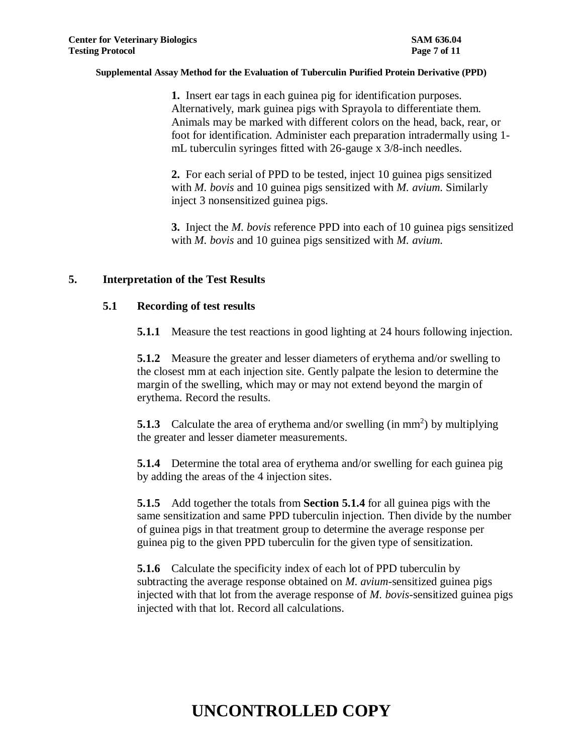**1.** Insert ear tags in each guinea pig for identification purposes. Alternatively, mark guinea pigs with Sprayola to differentiate them. Animals may be marked with different colors on the head, back, rear, or foot for identification. Administer each preparation intradermally using 1 mL tuberculin syringes fitted with 26-gauge x 3/8-inch needles.

**2.** For each serial of PPD to be tested, inject 10 guinea pigs sensitized with *M. bovis* and 10 guinea pigs sensitized with *M. avium*. Similarly inject 3 nonsensitized guinea pigs.

**3.** Inject the *M. bovis* reference PPD into each of 10 guinea pigs sensitized with *M. bovis* and 10 guinea pigs sensitized with *M. avium*.

### **5. Interpretation of the Test Results**

### **5.1 Recording of test results**

**5.1.1** Measure the test reactions in good lighting at 24 hours following injection.

**5.1.2** Measure the greater and lesser diameters of erythema and/or swelling to the closest mm at each injection site. Gently palpate the lesion to determine the margin of the swelling, which may or may not extend beyond the margin of erythema. Record the results.

**5.1.3** Calculate the area of erythema and/or swelling (in  $mm<sup>2</sup>$ ) by multiplying the greater and lesser diameter measurements.

**5.1.4** Determine the total area of erythema and/or swelling for each guinea pig by adding the areas of the 4 injection sites.

**5.1.5** Add together the totals from **Section 5.1.4** for all guinea pigs with the same sensitization and same PPD tuberculin injection. Then divide by the number of guinea pigs in that treatment group to determine the average response per guinea pig to the given PPD tuberculin for the given type of sensitization.

**5.1.6** Calculate the specificity index of each lot of PPD tuberculin by subtracting the average response obtained on *M. avium*-sensitized guinea pigs injected with that lot from the average response of *M. bovis*-sensitized guinea pigs injected with that lot. Record all calculations.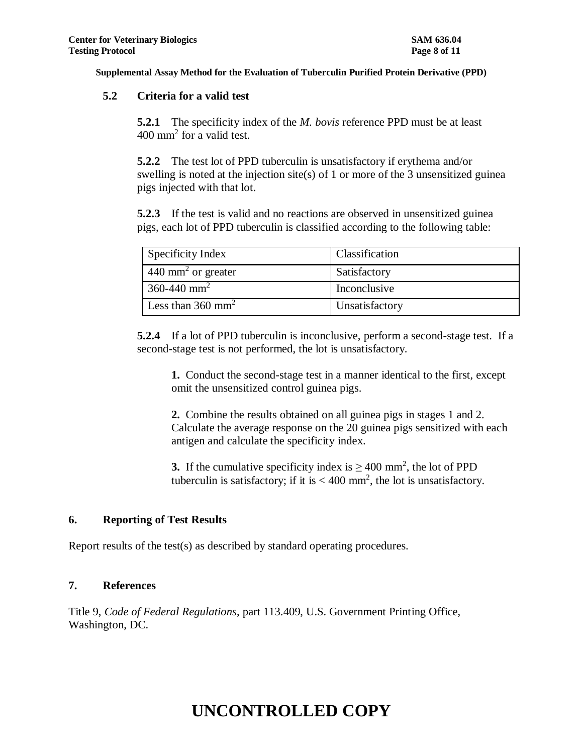### **5.2 Criteria for a valid test**

**5.2.1** The specificity index of the *M. bovis* reference PPD must be at least  $400 \text{ mm}^2$  for a valid test.

**5.2.2** The test lot of PPD tuberculin is unsatisfactory if erythema and/or swelling is noted at the injection site(s) of 1 or more of the 3 unsensitized guinea pigs injected with that lot.

**5.2.3** If the test is valid and no reactions are observed in unsensitized guinea pigs, each lot of PPD tuberculin is classified according to the following table:

| Specificity Index               | Classification |  |
|---------------------------------|----------------|--|
| 440 mm <sup>2</sup> or greater  | Satisfactory   |  |
| $360 - 440$ mm <sup>2</sup>     | Inconclusive   |  |
| Less than $360$ mm <sup>2</sup> | Unsatisfactory |  |

**5.2.4** If a lot of PPD tuberculin is inconclusive, perform a second-stage test. If a second-stage test is not performed, the lot is unsatisfactory.

**1.** Conduct the second-stage test in a manner identical to the first, except omit the unsensitized control guinea pigs.

**2.** Combine the results obtained on all guinea pigs in stages 1 and 2. Calculate the average response on the 20 guinea pigs sensitized with each antigen and calculate the specificity index.

**3.** If the cumulative specificity index is  $\geq 400$  mm<sup>2</sup>, the lot of PPD tuberculin is satisfactory; if it is  $< 400$  mm<sup>2</sup>, the lot is unsatisfactory.

### **6. Reporting of Test Results**

Report results of the test(s) as described by standard operating procedures.

### **7. References**

Title 9, *Code of Federal Regulations*, part 113.409, U.S. Government Printing Office, Washington, DC.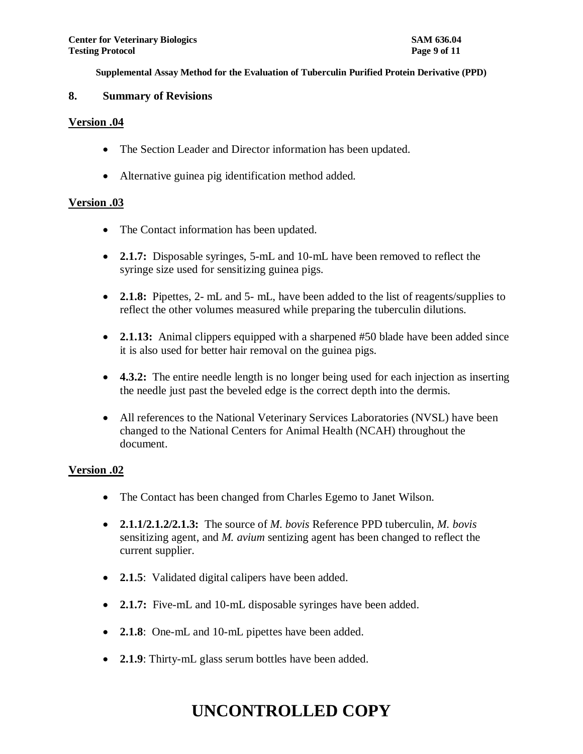### **8. Summary of Revisions**

### **Version .04**

- The Section Leader and Director information has been updated.
- Alternative guinea pig identification method added.

# **Version .03**

- The Contact information has been updated.
- **2.1.7:** Disposable syringes, 5-mL and 10-mL have been removed to reflect the syringe size used for sensitizing guinea pigs.
- **2.1.8:** Pipettes, 2- mL and 5- mL, have been added to the list of reagents/supplies to reflect the other volumes measured while preparing the tuberculin dilutions.
- **2.1.13:** Animal clippers equipped with a sharpened #50 blade have been added since it is also used for better hair removal on the guinea pigs.
- **4.3.2:** The entire needle length is no longer being used for each injection as inserting the needle just past the beveled edge is the correct depth into the dermis.
- All references to the National Veterinary Services Laboratories (NVSL) have been changed to the National Centers for Animal Health (NCAH) throughout the document.

# **Version .02**

- The Contact has been changed from Charles Egemo to Janet Wilson.
- **2.1.1/2.1.2/2.1.3:** The source of *M. bovis* Reference PPD tuberculin, *M. bovis* sensitizing agent, and *M. avium* sentizing agent has been changed to reflect the current supplier.
- **2.1.5**: Validated digital calipers have been added.
- **2.1.7:** Five-mL and 10-mL disposable syringes have been added.
- **2.1.8**: One-mL and 10-mL pipettes have been added.
- **2.1.9**: Thirty-mL glass serum bottles have been added.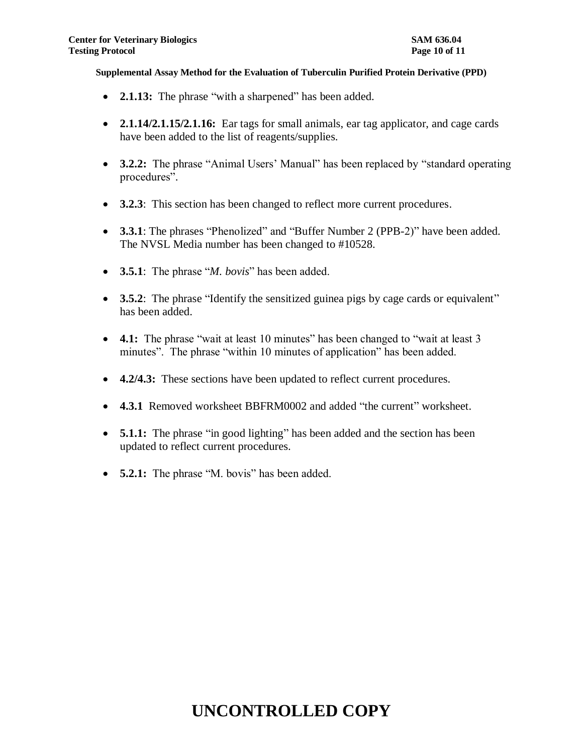- **2.1.13:** The phrase "with a sharpened" has been added.
- **2.1.14/2.1.15/2.1.16:** Ear tags for small animals, ear tag applicator, and cage cards have been added to the list of reagents/supplies.
- **3.2.2:** The phrase "Animal Users' Manual" has been replaced by "standard operating procedures".
- **3.2.3**: This section has been changed to reflect more current procedures.
- **3.3.1**: The phrases "Phenolized" and "Buffer Number 2 (PPB-2)" have been added. The NVSL Media number has been changed to #10528.
- **3.5.1**: The phrase "*M. bovis*" has been added.
- **3.5.2**: The phrase "Identify the sensitized guinea pigs by cage cards or equivalent" has been added.
- **4.1:** The phrase "wait at least 10 minutes" has been changed to "wait at least 3 minutes". The phrase "within 10 minutes of application" has been added.
- **4.2/4.3:** These sections have been updated to reflect current procedures.
- **4.3.1** Removed worksheet BBFRM0002 and added "the current" worksheet.
- **5.1.1:** The phrase "in good lighting" has been added and the section has been updated to reflect current procedures.
- **5.2.1:** The phrase "M. bovis" has been added.